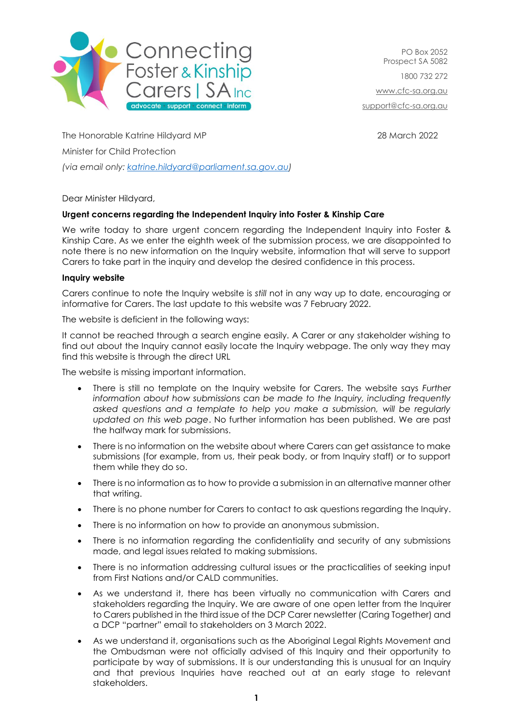

PO Box 2052 Prospect SA 5082 1800 732 272 [www.cfc-sa.org.au](http://www.cfc-sa.org.au/) [support@cfc-sa.org.au](mailto:support@cfc-sa.org.au)

The Honorable Katrine Hildyard MP 28 March 2022 Minister for Child Protection *(via email only: [katrine.hildyard@parliament.sa.gov.au\)](mailto:katrine.hildyard@parliament.sa.gov.au)*

Dear Minister Hildyard,

## **Urgent concerns regarding the Independent Inquiry into Foster & Kinship Care**

We write today to share urgent concern regarding the Independent Inquiry into Foster & Kinship Care. As we enter the eighth week of the submission process, we are disappointed to note there is no new information on the Inquiry website, information that will serve to support Carers to take part in the inquiry and develop the desired confidence in this process.

## **Inquiry website**

Carers continue to note the Inquiry website is *still* not in any way up to date, encouraging or informative for Carers. The last update to this website was 7 February 2022.

The website is deficient in the following ways:

It cannot be reached through a search engine easily. A Carer or any stakeholder wishing to find out about the Inquiry cannot easily locate the Inquiry webpage. The only way they may find this website is through the direct URL

The website is missing important information.

- There is still no template on the Inquiry website for Carers. The website says *Further*  information about how submissions can be made to the Inquiry, including frequently *asked questions and a template to help you make a submission, will be regularly updated on this web page*. No further information has been published. We are past the halfway mark for submissions.
- There is no information on the website about where Carers can get assistance to make submissions (for example, from us, their peak body, or from Inquiry staff) or to support them while they do so.
- There is no information as to how to provide a submission in an alternative manner other that writing.
- There is no phone number for Carers to contact to ask questions regarding the Inquiry.
- There is no information on how to provide an anonymous submission.
- There is no information regarding the confidentiality and security of any submissions made, and legal issues related to making submissions.
- There is no information addressing cultural issues or the practicalities of seeking input from First Nations and/or CALD communities.
- As we understand it, there has been virtually no communication with Carers and stakeholders regarding the Inquiry. We are aware of one open letter from the Inquirer to Carers published in the third issue of the DCP Carer newsletter (Caring Together) and a DCP "partner" email to stakeholders on 3 March 2022.
- As we understand it, organisations such as the Aboriginal Legal Rights Movement and the Ombudsman were not officially advised of this Inquiry and their opportunity to participate by way of submissions. It is our understanding this is unusual for an Inquiry and that previous Inquiries have reached out at an early stage to relevant stakeholders.